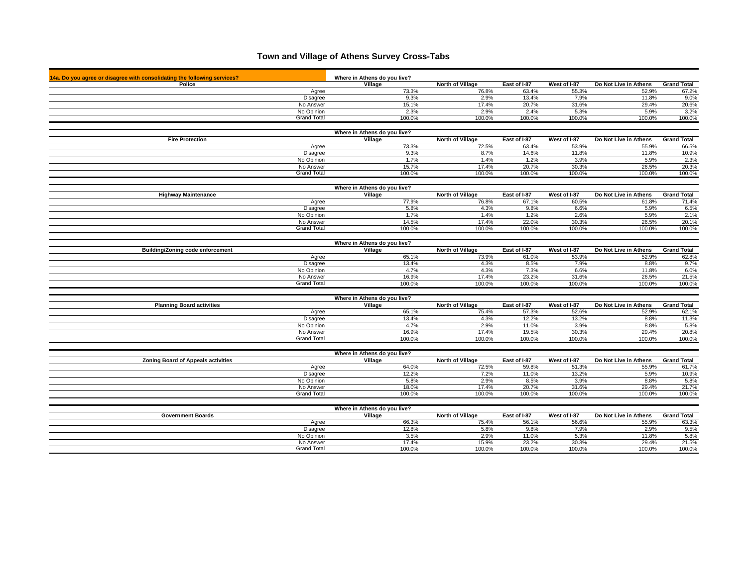## **Town and Village of Athens Survey Cross-Tabs**

| 14a. Do you agree or disagree with consolidating the following services? | Where in Athens do you live?            |                 |                         |                 |                 |                       |                    |
|--------------------------------------------------------------------------|-----------------------------------------|-----------------|-------------------------|-----------------|-----------------|-----------------------|--------------------|
| Police                                                                   | Village                                 |                 | <b>North of Village</b> | East of I-87    | West of I-87    | Do Not Live in Athens | <b>Grand Total</b> |
| Agree                                                                    |                                         | 73.3%           | 76.8%                   | 63.4%           | 55.3%           | 52.9%                 | 67.2%              |
| Disagree                                                                 |                                         | 9.3%            | 2.9%                    | 13.4%           | 7.9%            | 11.8%                 | 9.0%               |
| No Answer                                                                |                                         | 15.1%           | 17.4%                   | 20.7%           | 31.6%           | 29.4%                 | 20.6%              |
| No Opinion                                                               |                                         | 2.3%            | 2.9%                    | 2.4%            | 5.3%            | 5.9%                  | 3.2%               |
| <b>Grand Total</b>                                                       |                                         | 100.0%          | 100.0%                  | 100.0%          | 100.0%          | 100.0%                | 100.0%             |
|                                                                          |                                         |                 |                         |                 |                 |                       |                    |
| <b>Fire Protection</b>                                                   | Where in Athens do you live?<br>Village |                 | <b>North of Village</b> | East of I-87    | West of I-87    | Do Not Live in Athens | <b>Grand Total</b> |
| Agree                                                                    |                                         | 73.3%           | 72.5%                   | 63.4%           | 53.9%           | 55.9%                 | 66.5%              |
| Disagree                                                                 |                                         | 9.3%            | 8.7%                    | 14.6%           | 11.8%           | 11.8%                 | 10.9%              |
| No Opinion                                                               |                                         | 1.7%            | 1.4%                    | 1.2%            | 3.9%            | 5.9%                  | 2.3%               |
| No Answer                                                                |                                         | 15.7%           | 17.4%                   | 20.7%           | 30.3%           | 26.5%                 | 20.3%              |
| <b>Grand Total</b>                                                       |                                         | 100.0%          | 100.0%                  | 100.0%          | 100.0%          | 100.0%                | 100.0%             |
|                                                                          |                                         |                 |                         |                 |                 |                       |                    |
|                                                                          | Where in Athens do you live?            |                 |                         |                 |                 |                       |                    |
| <b>Highway Maintenance</b>                                               | Village                                 |                 | <b>North of Village</b> | East of I-87    | West of I-87    | Do Not Live in Athens | <b>Grand Total</b> |
| Agree                                                                    |                                         | 77.9%           | 76.8%                   | 67.1%           | 60.5%           | 61.8%                 | 71.4%              |
| Disagree                                                                 |                                         | 5.8%            | 4.3%                    | 9.8%            | 6.6%            | 5.9%                  | 6.5%               |
| No Opinion                                                               |                                         | 1.7%            | 1.4%<br>17.4%           | 1.2%            | 2.6%            | 5.9%                  | 2.1%               |
| No Answer<br><b>Grand Total</b>                                          |                                         | 14.5%<br>100.0% | 100.0%                  | 22.0%<br>100.0% | 30.3%<br>100.0% | 26.5%<br>100.0%       | 20.1%<br>100.0%    |
|                                                                          |                                         |                 |                         |                 |                 |                       |                    |
|                                                                          | Where in Athens do you live?            |                 |                         |                 |                 |                       |                    |
| <b>Building/Zoning code enforcement</b>                                  | Village                                 |                 | North of Village        | East of I-87    | West of I-87    | Do Not Live in Athens | <b>Grand Total</b> |
| Agree                                                                    |                                         | 65.1%           | 73.9%                   | 61.0%           | 53.9%           | 52.9%                 | 62.8%              |
| <b>Disagree</b>                                                          |                                         | 13.4%           | 4.3%                    | 8.5%            | 7.9%            | 8.8%                  | 9.7%               |
| No Opinion                                                               |                                         | 4.7%            | 4.3%                    | 7.3%            | 6.6%            | 11.8%                 | 6.0%               |
| No Answer                                                                |                                         | 16.9%           | 17.4%                   | 23.2%           | 31.6%           | 26.5%                 | 21.5%              |
| <b>Grand Total</b>                                                       |                                         | 100.0%          | 100.0%                  | 100.0%          | 100.0%          | 100.0%                | 100.0%             |
|                                                                          | Where in Athens do you live?            |                 |                         |                 |                 |                       |                    |
| <b>Planning Board activities</b>                                         | Village                                 |                 | <b>North of Village</b> | East of I-87    | West of I-87    | Do Not Live in Athens | <b>Grand Total</b> |
| Agree                                                                    |                                         | 65.1%           | 75.4%                   | 57.3%           | 52.6%           | 52.9%                 | 62.1%              |
| Disagree                                                                 |                                         | 13.4%           | 4.3%                    | 12.2%           | 13.2%           | 8.8%                  | 11.3%              |
| No Opinion                                                               |                                         | 4.7%            | 2.9%                    | 11.0%           | 3.9%            | 8.8%                  | 5.8%               |
| No Answer                                                                |                                         | 16.9%           | 17.4%                   | 19.5%           | 30.3%           | 29.4%                 | 20.8%              |
| <b>Grand Total</b>                                                       |                                         | 100.0%          | 100.0%                  | 100.0%          | 100.0%          | 100.0%                | 100.0%             |
|                                                                          |                                         |                 |                         |                 |                 |                       |                    |
| <b>Zoning Board of Appeals activities</b>                                | Where in Athens do you live?<br>Village |                 | North of Village        | East of I-87    | West of I-87    | Do Not Live in Athens | <b>Grand Total</b> |
| Agree                                                                    |                                         | 64.0%           | 72.5%                   | 59.8%           | 51.3%           | 55.9%                 | 61.7%              |
| Disagree                                                                 |                                         | 12.2%           | 7.2%                    | 11.0%           | 13.2%           | 5.9%                  | 10.9%              |
| No Opinion                                                               |                                         | 5.8%            | 2.9%                    | 8.5%            | 3.9%            | 8.8%                  | 5.8%               |
| No Answer                                                                |                                         | 18.0%           | 17.4%                   | 20.7%           | 31.6%           | 29.4%                 | 21.7%              |
| <b>Grand Total</b>                                                       |                                         | 100.0%          | 100.0%                  | 100.0%          | 100.0%          | 100.0%                | 100.0%             |
|                                                                          |                                         |                 |                         |                 |                 |                       |                    |
|                                                                          | Where in Athens do you live?            |                 |                         |                 |                 |                       |                    |
| <b>Government Boards</b>                                                 | Village                                 |                 | <b>North of Village</b> | East of I-87    | West of I-87    | Do Not Live in Athens | <b>Grand Total</b> |
| Agree                                                                    |                                         | 66.3%           | 75.4%                   | 56.1%           | 56.6%           | 55.9%                 | 63.3%              |
| Disagree                                                                 |                                         | 12.8%           | 5.8%                    | 9.8%            | 7.9%            | 2.9%                  | 9.5%               |
| No Opinion                                                               |                                         | 3.5%            | 2.9%                    | 11.0%           | 5.3%            | 11.8%                 | 5.8%               |
| No Answer                                                                |                                         | 17.4%           | 15.9%                   | 23.2%           | 30.3%           | 29.4%                 | 21.5%              |
| <b>Grand Total</b>                                                       |                                         | 100.0%          | 100.0%                  | 100.0%          | 100.0%          | 100.0%                | 100.0%             |
|                                                                          |                                         |                 |                         |                 |                 |                       |                    |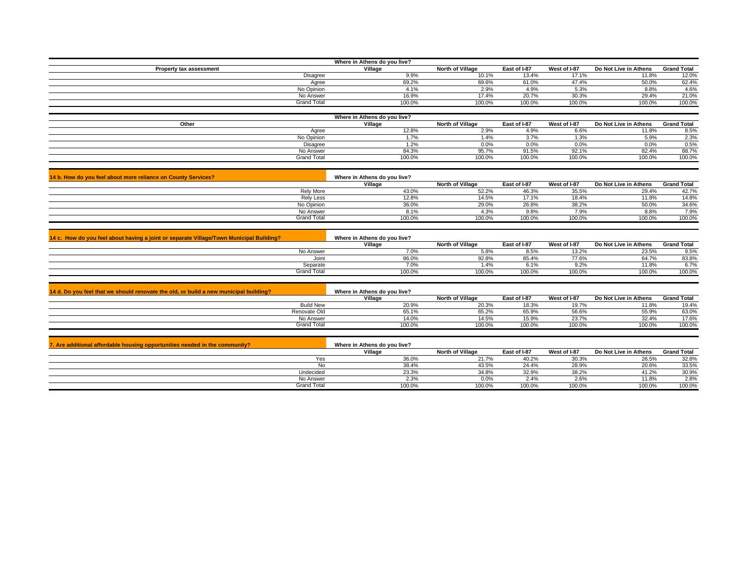|                                                               | Where in Athens do you live? |                  |              |              |                       |                    |
|---------------------------------------------------------------|------------------------------|------------------|--------------|--------------|-----------------------|--------------------|
| Property tax assessment                                       | Village                      | North of Village | East of I-87 | West of I-87 | Do Not Live in Athens | <b>Grand Total</b> |
| Disagree                                                      | 9.9%                         | 10.1%            | 13.4%        | 17.1%        | 11.8%                 | 12.0%              |
| Agree                                                         | 69.2%                        | 69.6%            | 61.0%        | 47.4%        | 50.0%                 | 62.4%              |
| No Opinion                                                    | 4.1%                         | 2.9%             | 4.9%         | 5.3%         | 8.8%                  | 4.6%               |
| No Answer                                                     | 16.9%                        | 17.4%            | 20.7%        | 30.3%        | 29.4%                 | 21.0%              |
| Grand Total                                                   | 100.0%                       | 100.0%           | 100.0%       | 100.0%       | 100.0%                | 100.0%             |
|                                                               |                              |                  |              |              |                       |                    |
|                                                               | Where in Athens do you live? |                  |              |              |                       |                    |
| Other                                                         | Village                      | North of Village | East of I-87 | West of I-87 | Do Not Live in Athens | <b>Grand Total</b> |
| Agree                                                         | 12.8%                        | 2.9%             | 4.9%         | 6.6%         | 11.8%                 | 8.5%               |
| No Opinion                                                    | 1.7%                         | 1.4%             | 3.7%         | 1.3%         | 5.9%                  | 2.3%               |
| Disagree                                                      | 1.2%                         | 0.0%             | 0.0%         | 0.0%         | 0.0%                  | 0.5%               |
| No Answer                                                     | 84.3%                        | 95.7%            | 91.5%        | 92.1%        | 82.4%                 | 88.7%              |
| <b>Grand Total</b>                                            | 100.0%                       | 100.0%           | 100.0%       | 100.0%       | 100.0%                | 100.0%             |
|                                                               |                              |                  |              |              |                       |                    |
| 14 b. How do you feel about more reliance on County Services? | Where in Athens do you live? |                  |              |              |                       |                    |
|                                                               | Village                      | North of Village | East of I-87 | West of I-87 | Do Not Live in Athens | <b>Grand Total</b> |
| _ _ _                                                         | .                            | ------           | .            | $\cdots$     | --- ---               |                    |

|                  | viildud | <b>NORTH OF VIRGUE</b> | Ed St UI FO / | <b>WESLOLFOL</b> | <b>DO NOL LIVE III AUTENS</b> | oranu rotar |
|------------------|---------|------------------------|---------------|------------------|-------------------------------|-------------|
| <b>Rely More</b> | 43.0%   | 52.2%                  | 46.3%         | 35.5%            | 29.4%                         | 42.7%       |
| <b>Rely Less</b> | 12.8%   | 14.5%                  | 17.1%         | 18.4%            | 11.8%                         | 14.8%       |
| No Opinion       | 36.0%   | 29.0%                  | 26.8%         | 38.2%            | 50.0%                         | 34.6%       |
| No Answer        |         | 4.3%                   | 9.8%          | ا ت              | 8.8%                          | 7.9%        |
| Grand Total      | 100.0%  | 100.0%                 | 100.0%        | 100.0%           | 100.0%                        | 100.0%      |

| 14 c. How do you feel about having a joint or separate Village/Town Municipal Building? | Where in Athens do you live? |                         |              |              |                       |                    |
|-----------------------------------------------------------------------------------------|------------------------------|-------------------------|--------------|--------------|-----------------------|--------------------|
|                                                                                         | Village                      | <b>North of Village</b> | East of I-87 | West of I-87 | Do Not Live in Athens | <b>Grand Total</b> |
| No Answer                                                                               | 7.0%                         | 5.8%                    | 8.5%         | 13.2%        | 23.5%                 | 9.5%               |
| Joint                                                                                   | 86.0%                        | 92.8%                   | 85.4%        | 77.6%        | 64.7%                 | 83.8%              |
| Separate                                                                                | 7.0%                         | 1.4%                    |              |              | 11.8%                 | 6.7%               |
| <b>Grand Total</b>                                                                      | 100.0%                       | 100.0%                  | 100.0%       | 100.0%       | 100.0%                | 100.0%             |

| 14 d. Do you feel that we should renovate the old, or build a new municipal building? | Where in Athens do vou live? |                         |              |              |                       |                    |
|---------------------------------------------------------------------------------------|------------------------------|-------------------------|--------------|--------------|-----------------------|--------------------|
|                                                                                       | Village                      | <b>North of Village</b> | East of I-87 | West of I-87 | Do Not Live in Athens | <b>Grand Total</b> |
| <b>Build New</b>                                                                      | 20.9%                        | 20.3%                   | 18.3%        | 19.7%        | 11.8%                 | 19.4%              |
| Renovate Old                                                                          | 65.1%                        | 65.2%                   | 65.9%        | 56.6%        | 55.9%                 | 63.0%              |
| No Answer                                                                             | 14.0%                        | 14.5%                   | 15.9%        | 23.7%        | $32.4^{\circ}$        | 17.6%              |
| Grand Total                                                                           | 100.0%                       | 100.0%                  | 100.0%       | 100.0%       | 100.0%                | 100.0%             |

| . Are additional affordable housing opportunities needed in the community? | Where in Athens do you live? |                         |              |              |                       |                    |
|----------------------------------------------------------------------------|------------------------------|-------------------------|--------------|--------------|-----------------------|--------------------|
|                                                                            | Village                      | <b>North of Village</b> | East of I-87 | West of I-87 | Do Not Live in Athens | <b>Grand Total</b> |
|                                                                            | 36.0%                        | 21.7%                   | 40.2%        | 30.3%        | 26.5%                 | 32.8%              |
|                                                                            | 38.4%                        | 43.5%                   | 24.4%        | 28.9%        | 20.6%                 | 33.5%              |
| Undecided                                                                  | 23.3%                        | 34.8%                   | 32.9%        | 38.2%        | 41.2%                 | 30.9%              |
| No Answer                                                                  | 2.3%                         | 0.0%                    | 2.4%         | 2.6%         | 11.8%                 | 2.8%               |
| Grand Total                                                                | 100.0%                       | 100.0%                  | 100.0%       | 100.0%       | 100.0%                | 100.0%             |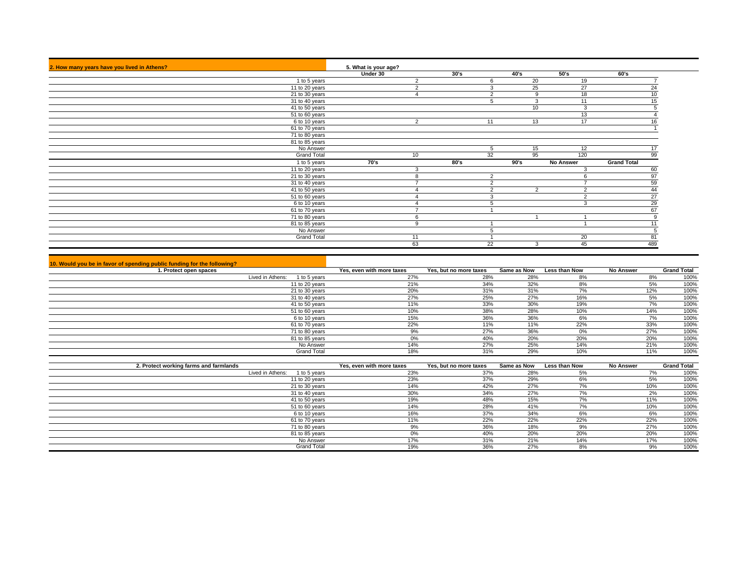| 2. How many years have you lived in Athens? | 5. What is your age?            |      |          |                |                  |                    |
|---------------------------------------------|---------------------------------|------|----------|----------------|------------------|--------------------|
|                                             | Under 30                        | 30's | 40's     |                | 50's             | 60's               |
|                                             | 1 to 5 years<br>2               |      | 6        | 20             | 19               |                    |
| 11 to 20 years                              | $\Omega$<br>∠                   |      |          | 25             | 27               |                    |
| 21 to 30 years                              |                                 |      | $\sim$   | 9              | 18               | 10                 |
| 31 to 40 years                              |                                 |      |          | 3              | 11               |                    |
| 41 to 50 years                              |                                 |      |          | 10             | 3                |                    |
| 51 to 60 years                              |                                 |      |          |                | 13               |                    |
|                                             | 6 to 10 years<br>2              |      | 11       | 13             | 17               |                    |
| 61 to 70 years                              |                                 |      |          |                |                  |                    |
| 71 to 80 years                              |                                 |      |          |                |                  |                    |
| 81 to 85 years                              |                                 |      |          |                |                  |                    |
|                                             | No Answer                       |      | 5        | 15             | 12               |                    |
|                                             | <b>Grand Total</b><br>10        |      | 32       | 95             | 120              | 99                 |
|                                             | 70's<br>1 to 5 years            | 80's | 90's     |                | <b>No Answer</b> | <b>Grand Total</b> |
| 11 to 20 years                              | 3                               |      |          |                | 3                | 60                 |
| 21 to 30 years                              | 8                               |      | 2        |                | 6                | 97                 |
| 31 to 40 years                              | $\overline{ }$                  |      | $\sim$   |                |                  | 59                 |
| 41 to 50 years                              |                                 |      | $\Omega$ | $\overline{2}$ | 2                | 44                 |
| 51 to 60 years                              |                                 |      | 3        |                | $\overline{2}$   | 27                 |
|                                             | 6 to 10 years<br>$\overline{4}$ |      |          |                | 3                | 29                 |
| 61 to 70 years                              |                                 |      |          |                |                  | 67                 |
| 71 to 80 years                              | 6                               |      |          |                |                  |                    |
| 81 to 85 years                              | 9                               |      |          |                |                  |                    |
|                                             | No Answer                       |      |          |                |                  |                    |
|                                             | <b>Grand Total</b><br>11        |      |          |                | 20               | 81                 |
|                                             | 63                              |      | 22       | 3              | 45               | 489                |

| 10. Would you be in favor of spending public funding for the following? |                           |                        |             |                      |                  |                    |
|-------------------------------------------------------------------------|---------------------------|------------------------|-------------|----------------------|------------------|--------------------|
| 1. Protect open spaces                                                  | Yes, even with more taxes | Yes, but no more taxes | Same as Now | <b>Less than Now</b> | <b>No Answer</b> | <b>Grand Total</b> |
| Lived in Athens:<br>1 to 5 years                                        | 27%                       | 28%                    | 28%         | 8%                   | 8%               | 100%               |
| 11 to 20 years                                                          | 21%                       | 34%                    | 32%         | 8%                   | 5%               | 100%               |
| 21 to 30 years                                                          | 20%                       | 31%                    | 31%         |                      | 12%              | 100%               |
| 31 to 40 years                                                          | 27%                       | 25%                    | 27%         | 16%                  | 5%               | 100%               |
| 41 to 50 years                                                          | 11%                       | 33%                    | 30%         | 19%                  | 7%               | 100%               |
| 51 to 60 years                                                          | 10%                       | 38%                    | 28%         | 10%                  | 14%              | 100%               |
| 6 to 10 years                                                           | 15%                       | 36%                    | 36%         | 6%                   | 7%               | 100%               |
| 61 to 70 years                                                          | 22%                       | 11%                    | 11%         | 22%                  | 33%              | 100%               |
| 71 to 80 years                                                          | 9%                        | 27%                    | 36%         | 0%                   | 27%              | 100%               |
| 81 to 85 years                                                          | 0%                        | 40%                    | 20%         | 20%                  | 20%              | 100%               |
| No Answer                                                               | 14%                       | 27%                    | 25%         | 14%                  | 21%              | 100%               |
| <b>Grand Total</b>                                                      | 18%                       | 31%                    | 29%         | 10%                  | 11%              | 100%               |

| 2. Protect working farms and farmlands | Yes, even with more taxes | Yes, but no more taxes | Same as Now | <b>Less than Now</b> | <b>No Answer</b> | <b>Grand Total</b> |
|----------------------------------------|---------------------------|------------------------|-------------|----------------------|------------------|--------------------|
| Lived in Athens:<br>1 to 5 years       | 23%                       | 37%                    | 28%         | 5%                   | 7%               | 100%               |
| 11 to 20 years                         | 23%                       | 37%                    | 29%         | 6%                   | 5%               | 100%               |
| 21 to 30 years                         | 14%                       | 42%                    | 27%         | $\rightarrow$ $\sim$ | 10%              | 100%               |
| 31 to 40 years                         | 30%                       | 34%                    | 27%         | 7%                   | 2%               | 100%               |
| 41 to 50 years                         | 19%                       | 48%                    | 15%         | 7%                   | 11%              | 100%               |
| 51 to 60 years                         | 14%                       | 28%                    | 41%         | 7%                   | 10%              | 100%               |
| 6 to 10 years                          | 16%                       | 37%                    | 34%         | 6%                   | 6%               | 100%               |
| 61 to 70 years                         | 11%                       | 22%                    | 22%         | 22%                  | 22%              | 100%               |
| 71 to 80 years                         | 00/<br>ס7ס                | 36%                    | 18%         | 9%                   | 27%              | 100%               |
| 81 to 85 years                         | 0%                        | 40%                    | 20%         | 20%                  | 20%              | 100%               |
| No Answer                              | 17%                       | 31%                    | 21%         | 14%                  | 17%              | 100%               |
| <b>Grand Total</b>                     | 19%                       | 36%                    | 27%         | 8%                   | 9%               | 100%               |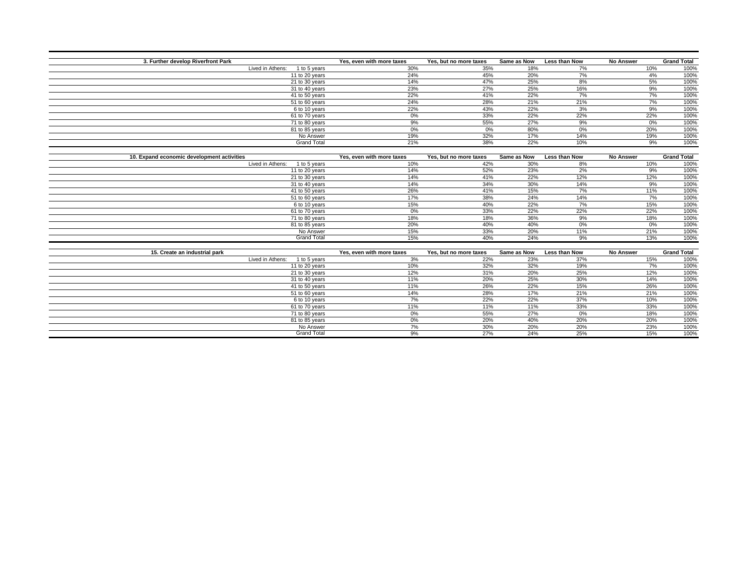| 3. Further develop Riverfront Park         | Yes, even with more taxes | Yes, but no more taxes | Same as Now | <b>Less than Now</b> | <b>No Answer</b> | <b>Grand Total</b> |
|--------------------------------------------|---------------------------|------------------------|-------------|----------------------|------------------|--------------------|
| Lived in Athens:<br>1 to 5 years           | 30%                       | 35%                    | 18%         | 7%                   | 10%              | 100%               |
| 11 to 20 years                             | 24%                       | 45%                    | 20%         | 7%                   | 4%               | 100%               |
| 21 to 30 years                             | 14%                       | 47%                    | 25%         | 8%                   | 5%               | 100%               |
| 31 to 40 years                             | 23%                       | 27%                    | 25%         | 16%                  | 9%               | 100%               |
| 41 to 50 years                             | 22%                       | 41%                    | 22%         | 7%                   | 7%               | 100%               |
| 51 to 60 years                             | 24%                       | 28%                    | 21%         | 21%                  | 7%               | 100%               |
| 6 to 10 years                              | 22%                       | 43%                    | 22%         | 3%                   | 9%               | 100%               |
| 61 to 70 years                             | 0%                        | 33%                    | 22%         | 22%                  | 22%              | 100%               |
| 71 to 80 years                             | 9%                        | 55%                    | 27%         | 9%                   | 0%               | 100%               |
| 81 to 85 years                             | 0%                        | 0%                     | 80%         | 0%                   | 20%              | 100%               |
| No Answer                                  | 19%                       | 32%                    | 17%         | 14%                  | 19%              | 100%               |
| <b>Grand Total</b>                         | 21%                       | 38%                    | 22%         | 10%                  | 9%               | 100%               |
|                                            |                           |                        |             |                      |                  |                    |
| 10. Expand economic development activities | Yes, even with more taxes | Yes, but no more taxes | Same as Now | Less than Now        | <b>No Answer</b> | <b>Grand Total</b> |
| Lived in Athens:<br>1 to 5 years           | 10%                       | 42%                    | 30%         | 8%                   | 10%              | 100%               |
| 11 to 20 years                             | 14%                       | 52%                    | 23%         | 2%                   | 9%               | 100%               |
| 21 to 30 years                             | 14%                       | 41%                    | 22%         | 12%                  | 12%              | 100%               |
| 31 to 40 years                             | 14%                       | 34%                    | 30%         | 14%                  | 9%               | 100%               |
| 41 to 50 years                             | 26%                       | 41%                    | 15%         | 7%                   | 11%              | 100%               |
| 51 to 60 years                             | 17%                       | 38%                    | 24%         | 14%                  | 7%               | 100%               |
| 6 to 10 years                              | 15%                       | 40%                    | 22%         | 7%                   | 15%              | 100%               |
| 61 to 70 years                             | 0%                        | 33%                    | 22%         | 22%                  | 22%              | 100%               |
| 71 to 80 years                             | 18%                       | 18%                    | 36%         | 9%                   | 18%              | 100%               |
| 81 to 85 years                             | 20%                       | 40%                    | 40%         | 0%                   | 0%               | 100%               |
| No Answer                                  | 15%                       | 33%                    | 20%         | 11%                  | 21%              | 100%               |
| <b>Grand Total</b>                         | 15%                       | 40%                    | 24%         | 9%                   | 13%              | 100%               |
|                                            |                           |                        |             |                      |                  |                    |
| 15. Create an industrial park              | Yes, even with more taxes | Yes, but no more taxes | Same as Now | Less than Now        | <b>No Answer</b> | <b>Grand Total</b> |
| Lived in Athens:<br>1 to 5 years           | 3%                        | 22%                    | 23%         | 37%                  | 15%              | 100%               |
| 11 to 20 years                             | 10%                       | 32%                    | 32%         | 19%                  | 7%               | 100%               |
| 21 to 30 years                             | 12%                       | 31%                    | 20%         | 25%                  | 12%              | 100%               |
| 31 to 40 years                             | 11%                       | 20%                    | 25%         | 30%                  | 14%              | 100%               |
| 41 to 50 years                             | 11%                       | 26%                    | 22%         | 15%                  | 26%              | 100%               |
| 51 to 60 years                             | 14%                       | 28%                    | 17%         | 21%                  | 21%              | 100%               |
| 6 to 10 years                              | 7%                        | 22%                    | 22%         | 37%                  | 10%              | 100%               |
| 61 to 70 years                             | 11%                       | 11%                    | 11%         | 33%                  | 33%              | 100%               |
| 71 to 80 years                             | 0%                        | 55%                    | 27%         | 0%                   | 18%              | 100%               |
| 81 to 85 years                             | 0%                        | 20%                    | 40%         | 20%                  | 20%              | 100%               |
| No Answer                                  | 7%                        | 30%                    | 20%         | 20%                  | 23%              | 100%               |
| <b>Grand Total</b>                         | 9%                        | 27%                    | 24%         | 25%                  | 15%              | 100%               |